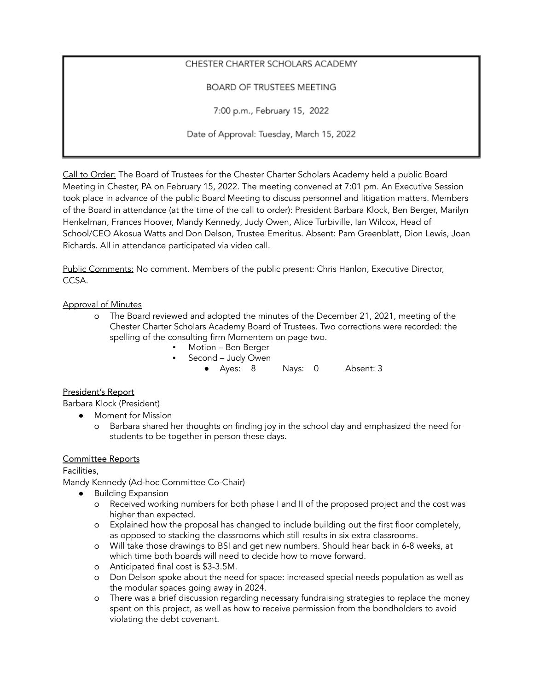# CHESTER CHARTER SCHOLARS ACADEMY

BOARD OF TRUSTEES MEETING

7:00 p.m., February 15, 2022

Date of Approval: Tuesday, March 15, 2022

Call to Order: The Board of Trustees for the Chester Charter Scholars Academy held a public Board Meeting in Chester, PA on February 15, 2022. The meeting convened at 7:01 pm. An Executive Session took place in advance of the public Board Meeting to discuss personnel and litigation matters. Members of the Board in attendance (at the time of the call to order): President Barbara Klock, Ben Berger, Marilyn Henkelman, Frances Hoover, Mandy Kennedy, Judy Owen, Alice Turbiville, Ian Wilcox, Head of School/CEO Akosua Watts and Don Delson, Trustee Emeritus. Absent: Pam Greenblatt, Dion Lewis, Joan Richards. All in attendance participated via video call.

Public Comments: No comment. Members of the public present: Chris Hanlon, Executive Director, CCSA.

# Approval of Minutes

- o The Board reviewed and adopted the minutes of the December 21, 2021, meeting of the Chester Charter Scholars Academy Board of Trustees. Two corrections were recorded: the spelling of the consulting firm Momentem on page two.
	- Motion Ben Berger
	- Second Judy Owen
		- Ayes: 8 Nays: 0 Absent: 3

### President's Report

Barbara Klock (President)

● Moment for Mission

o Barbara shared her thoughts on finding joy in the school day and emphasized the need for students to be together in person these days.

### Committee Reports

Facilities,

Mandy Kennedy (Ad-hoc Committee Co-Chair)

- Building Expansion
	- o Received working numbers for both phase I and II of the proposed project and the cost was higher than expected.
	- o Explained how the proposal has changed to include building out the first floor completely, as opposed to stacking the classrooms which still results in six extra classrooms.
	- o Will take those drawings to BSI and get new numbers. Should hear back in 6-8 weeks, at which time both boards will need to decide how to move forward.
	- o Anticipated final cost is \$3-3.5M.
	- o Don Delson spoke about the need for space: increased special needs population as well as the modular spaces going away in 2024.
	- o There was a brief discussion regarding necessary fundraising strategies to replace the money spent on this project, as well as how to receive permission from the bondholders to avoid violating the debt covenant.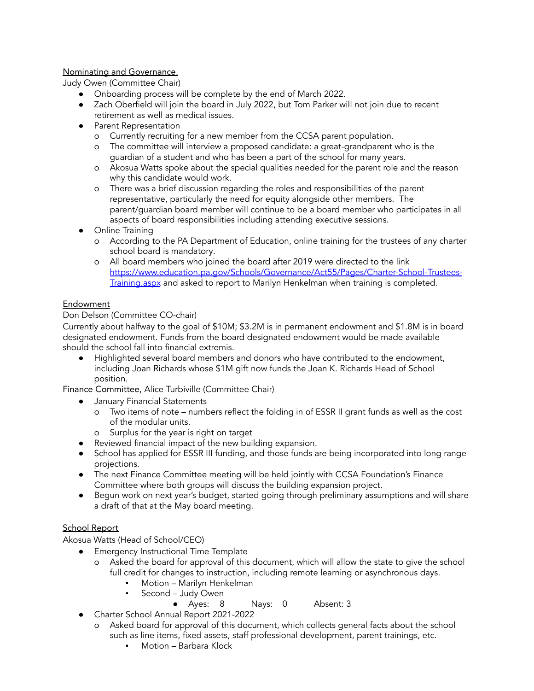# Nominating and Governance,

Judy Owen (Committee Chair)

- Onboarding process will be complete by the end of March 2022.
- Zach Oberfield will join the board in July 2022, but Tom Parker will not join due to recent retirement as well as medical issues.
- Parent Representation
	- o Currently recruiting for a new member from the CCSA parent population.
	- o The committee will interview a proposed candidate: a great-grandparent who is the guardian of a student and who has been a part of the school for many years.
	- o Akosua Watts spoke about the special qualities needed for the parent role and the reason why this candidate would work.
	- o There was a brief discussion regarding the roles and responsibilities of the parent representative, particularly the need for equity alongside other members. The parent/guardian board member will continue to be a board member who participates in all aspects of board responsibilities including attending executive sessions.
- Online Training
	- o According to the PA Department of Education, online training for the trustees of any charter school board is mandatory.
	- o All board members who joined the board after 2019 were directed to the link https://www.education.pa.gov/Schools/Governance/Act55/Pages/Charter-School-Trustees-Training.aspx and asked to report to Marilyn Henkelman when training is completed.

# Endowment

# Don Delson (Committee CO-chair)

Currently about halfway to the goal of \$10M; \$3.2M is in permanent endowment and \$1.8M is in board designated endowment. Funds from the board designated endowment would be made available should the school fall into financial extremis.

● Highlighted several board members and donors who have contributed to the endowment, including Joan Richards whose \$1M gift now funds the Joan K. Richards Head of School position.

Finance Committee, Alice Turbiville (Committee Chair)

- January Financial Statements
	- o Two items of note numbers reflect the folding in of ESSR II grant funds as well as the cost of the modular units.
	- o Surplus for the year is right on target
- Reviewed financial impact of the new building expansion.
- School has applied for ESSR III funding, and those funds are being incorporated into long range projections.
- The next Finance Committee meeting will be held jointly with CCSA Foundation's Finance Committee where both groups will discuss the building expansion project.
- Begun work on next year's budget, started going through preliminary assumptions and will share a draft of that at the May board meeting.

# School Report

Akosua Watts (Head of School/CEO)

- Emergency Instructional Time Template
	- o Asked the board for approval of this document, which will allow the state to give the school full credit for changes to instruction, including remote learning or asynchronous days.
		- Motion Marilyn Henkelman
		- Second Judy Owen
			- Ayes: 8 Nays: 0 Absent: 3
- Charter School Annual Report 2021-2022
	- o Asked board for approval of this document, which collects general facts about the school such as line items, fixed assets, staff professional development, parent trainings, etc.
		- Motion Barbara Klock